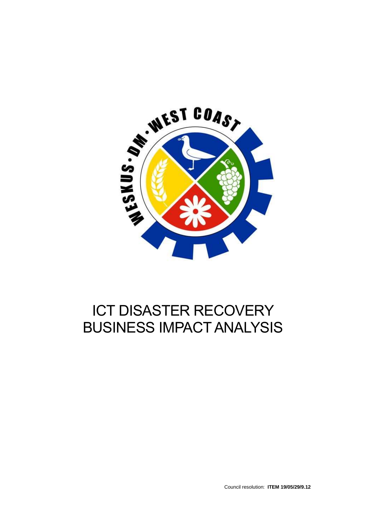

# ICT DISASTER RECOVERY BUSINESS IMPACT ANALYSIS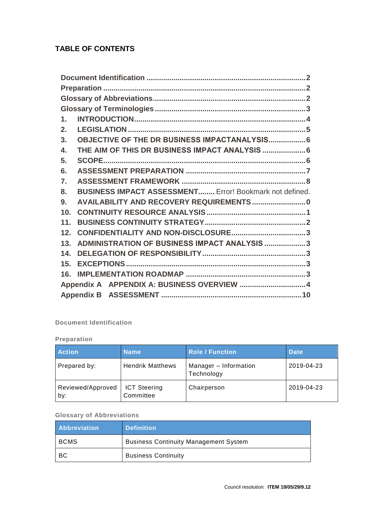### **TABLE OF CONTENTS**

| $\mathbf 1$ .    |                                                                |  |
|------------------|----------------------------------------------------------------|--|
| 2.               |                                                                |  |
| 3.               | OBJECTIVE OF THE DR BUSINESS IMPACTANALYSIS 6                  |  |
| $\overline{4}$ . | THE AIM OF THIS DR BUSINESS IMPACT ANALYSIS  6                 |  |
| 5.               |                                                                |  |
| 6.               |                                                                |  |
| $\overline{7}$ . |                                                                |  |
|                  |                                                                |  |
| 8.               | <b>BUSINESS IMPACT ASSESSMENT</b> Error! Bookmark not defined. |  |
| 9 <sub>1</sub>   | AVAILABILITY AND RECOVERY REQUIREMENTS 0                       |  |
| 10.              |                                                                |  |
| 11.              |                                                                |  |
| 12.              |                                                                |  |
| 13.              | ADMINISTRATION OF BUSINESS IMPACT ANALYSIS 3                   |  |
| 14.              |                                                                |  |
| 15.              |                                                                |  |
| 16.              |                                                                |  |
|                  | Appendix A APPENDIX A: BUSINESS OVERVIEW 4                     |  |

#### <span id="page-1-0"></span>**Document Identification**

#### <span id="page-1-1"></span>**Preparation**

| <b>Action</b>            | <b>Name</b>                      | <b>Role / Function</b>              | <b>Date</b> |
|--------------------------|----------------------------------|-------------------------------------|-------------|
| Prepared by:             | <b>Hendrik Matthews</b>          | Manager - Information<br>Technology | 2019-04-23  |
| Reviewed/Approved<br>by: | <b>ICT Steering</b><br>Committee | Chairperson                         | 2019-04-23  |

#### <span id="page-1-2"></span>**Glossary of Abbreviations**

| <b>Abbreviation</b> | <b>Definition</b>                            |
|---------------------|----------------------------------------------|
| BCMS                | <b>Business Continuity Management System</b> |
| - BC                | <b>Business Continuity</b>                   |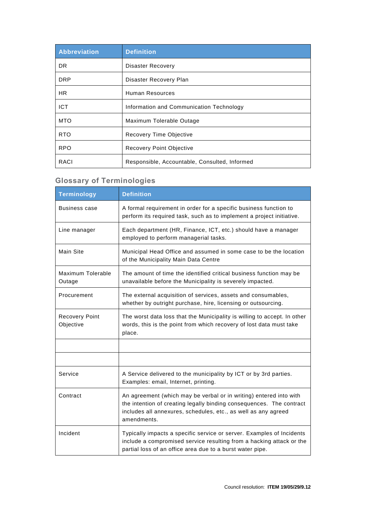| Abbreviation    | <b>Definition</b>                             |
|-----------------|-----------------------------------------------|
| DR.             | <b>Disaster Recovery</b>                      |
| <b>DRP</b>      | Disaster Recovery Plan                        |
| HR.             | Human Resources                               |
| <b>ICT</b>      | Information and Communication Technology      |
| <b>MTO</b>      | Maximum Tolerable Outage                      |
| R <sub>TO</sub> | Recovery Time Objective                       |
| <b>RPO</b>      | Recovery Point Objective                      |
| RACI            | Responsible, Accountable, Consulted, Informed |

### <span id="page-2-0"></span>**Glossary of Terminologies**

|                                    | <b>Definition</b>                                                                                                                                                                                                           |
|------------------------------------|-----------------------------------------------------------------------------------------------------------------------------------------------------------------------------------------------------------------------------|
| <b>Terminology</b>                 |                                                                                                                                                                                                                             |
| Business case                      | A formal requirement in order for a specific business function to<br>perform its required task, such as to implement a project initiative.                                                                                  |
| Line manager                       | Each department (HR, Finance, ICT, etc.) should have a manager<br>employed to perform managerial tasks.                                                                                                                     |
| Main Site                          | Municipal Head Office and assumed in some case to be the location<br>of the Municipality Main Data Centre                                                                                                                   |
| Maximum Tolerable<br>Outage        | The amount of time the identified critical business function may be<br>unavailable before the Municipality is severely impacted.                                                                                            |
| Procurement                        | The external acquisition of services, assets and consumables,<br>whether by outright purchase, hire, licensing or outsourcing.                                                                                              |
| <b>Recovery Point</b><br>Objective | The worst data loss that the Municipality is willing to accept. In other<br>words, this is the point from which recovery of lost data must take<br>place.                                                                   |
|                                    |                                                                                                                                                                                                                             |
|                                    |                                                                                                                                                                                                                             |
| Service                            | A Service delivered to the municipality by ICT or by 3rd parties.<br>Examples: email, Internet, printing.                                                                                                                   |
| Contract                           | An agreement (which may be verbal or in writing) entered into with<br>the intention of creating legally binding consequences. The contract<br>includes all annexures, schedules, etc., as well as any agreed<br>amendments. |
| Incident                           | Typically impacts a specific service or server. Examples of Incidents<br>include a compromised service resulting from a hacking attack or the<br>partial loss of an office area due to a burst water pipe.                  |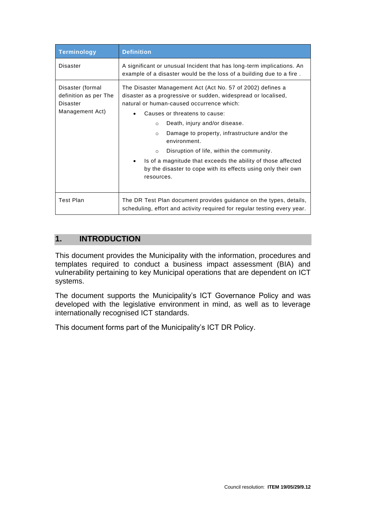| <b>Terminology</b>                                                       | <b>Definition</b>                                                                                                                                                                                                                                                                                                                                                                                                                                                                                                                        |  |  |
|--------------------------------------------------------------------------|------------------------------------------------------------------------------------------------------------------------------------------------------------------------------------------------------------------------------------------------------------------------------------------------------------------------------------------------------------------------------------------------------------------------------------------------------------------------------------------------------------------------------------------|--|--|
| Disaster                                                                 | A significant or unusual Incident that has long-term implications. An<br>example of a disaster would be the loss of a building due to a fire.                                                                                                                                                                                                                                                                                                                                                                                            |  |  |
| Disaster (formal<br>definition as per The<br>Disaster<br>Management Act) | The Disaster Management Act (Act No. 57 of 2002) defines a<br>disaster as a progressive or sudden, widespread or localised,<br>natural or human-caused occurrence which:<br>Causes or threatens to cause:<br>Death, injury and/or disease.<br>$\circ$<br>Damage to property, infrastructure and/or the<br>$\circ$<br>environment.<br>Disruption of life, within the community.<br>$\circ$<br>Is of a magnitude that exceeds the ability of those affected<br>by the disaster to cope with its effects using only their own<br>resources. |  |  |
| <b>Test Plan</b>                                                         | The DR Test Plan document provides guidance on the types, details,<br>scheduling, effort and activity required for regular testing every year.                                                                                                                                                                                                                                                                                                                                                                                           |  |  |

#### <span id="page-3-0"></span>**1. INTRODUCTION**

This document provides the Municipality with the information, procedures and templates required to conduct a business impact assessment (BIA) and vulnerability pertaining to key Municipal operations that are dependent on ICT systems.

The document supports the Municipality's ICT Governance Policy and was developed with the legislative environment in mind, as well as to leverage internationally recognised ICT standards.

This document forms part of the Municipality's ICT DR Policy.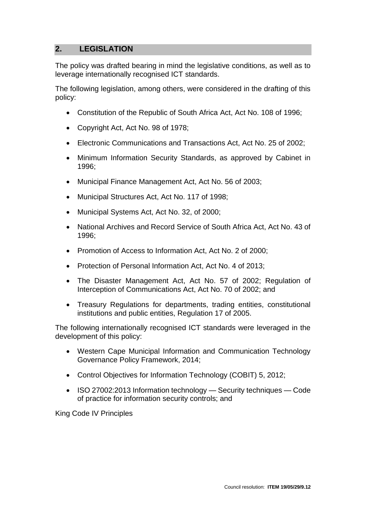#### <span id="page-4-0"></span>**2. LEGISLATION**

The policy was drafted bearing in mind the legislative conditions, as well as to leverage internationally recognised ICT standards.

The following legislation, among others, were considered in the drafting of this policy:

- Constitution of the Republic of South Africa Act, Act No. 108 of 1996;
- Copyright Act, Act No. 98 of 1978;
- Electronic Communications and Transactions Act, Act No. 25 of 2002;
- Minimum Information Security Standards, as approved by Cabinet in 1996;
- Municipal Finance Management Act, Act No. 56 of 2003;
- Municipal Structures Act, Act No. 117 of 1998;
- Municipal Systems Act, Act No. 32, of 2000;
- National Archives and Record Service of South Africa Act, Act No. 43 of 1996;
- Promotion of Access to Information Act, Act No. 2 of 2000;
- Protection of Personal Information Act, Act No. 4 of 2013;
- The Disaster Management Act, Act No. 57 of 2002; Regulation of Interception of Communications Act, Act No. 70 of 2002; and
- Treasury Regulations for departments, trading entities, constitutional institutions and public entities, Regulation 17 of 2005.

The following internationally recognised ICT standards were leveraged in the development of this policy:

- Western Cape Municipal Information and Communication Technology Governance Policy Framework, 2014;
- Control Objectives for Information Technology (COBIT) 5, 2012;
- ISO 27002:2013 Information technology Security techniques Code of practice for information security controls; and

King Code IV Principles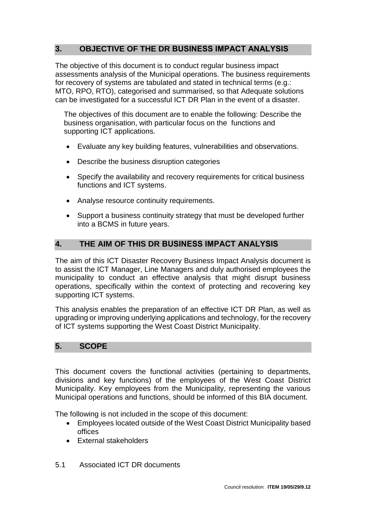### <span id="page-5-0"></span>**3. OBJECTIVE OF THE DR BUSINESS IMPACT ANALYSIS**

The objective of this document is to conduct regular business impact assessments analysis of the Municipal operations. The business requirements for recovery of systems are tabulated and stated in technical terms (e.g.: MTO, RPO, RTO), categorised and summarised, so that Adequate solutions can be investigated for a successful ICT DR Plan in the event of a disaster.

The objectives of this document are to enable the following: Describe the business organisation, with particular focus on the functions and supporting ICT applications.

- Evaluate any key building features, vulnerabilities and observations.
- Describe the business disruption categories
- Specify the availability and recovery requirements for critical business functions and ICT systems.
- Analyse resource continuity requirements.
- Support a business continuity strategy that must be developed further into a BCMS in future years.

#### <span id="page-5-1"></span>**4. THE AIM OF THIS DR BUSINESS IMPACT ANALYSIS**

The aim of this ICT Disaster Recovery Business Impact Analysis document is to assist the ICT Manager, Line Managers and duly authorised employees the municipality to conduct an effective analysis that might disrupt business operations, specifically within the context of protecting and recovering key supporting ICT systems.

This analysis enables the preparation of an effective ICT DR Plan, as well as upgrading or improving underlying applications and technology, for the recovery of ICT systems supporting the West Coast District Municipality.

#### <span id="page-5-2"></span>**5. SCOPE**

This document covers the functional activities (pertaining to departments, divisions and key functions) of the employees of the West Coast District Municipality. Key employees from the Municipality, representing the various Municipal operations and functions, should be informed of this BIA document.

The following is not included in the scope of this document:

- Employees located outside of the West Coast District Municipality based offices
- External stakeholders
- 5.1 Associated ICT DR documents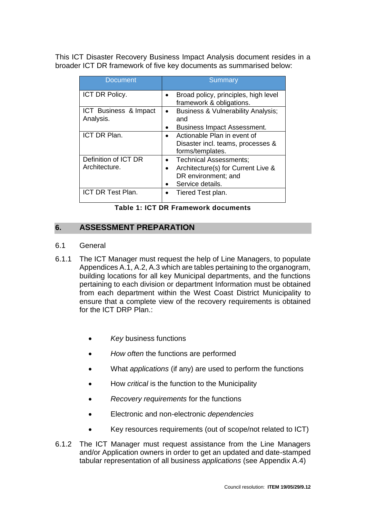This ICT Disaster Recovery Business Impact Analysis document resides in a broader ICT DR framework of five key documents as summarised below:

| <b>Document</b>                       | <b>Summary</b>                                                                                                             |
|---------------------------------------|----------------------------------------------------------------------------------------------------------------------------|
| <b>ICT DR Policy.</b>                 | Broad policy, principles, high level<br>framework & obligations.                                                           |
| ICT Business & Impact<br>Analysis.    | <b>Business &amp; Vulnerability Analysis;</b><br>and                                                                       |
| ICT DR Plan.                          | <b>Business Impact Assessment.</b><br>Actionable Plan in event of<br>Disaster incl. teams, processes &<br>forms/templates. |
| Definition of ICT DR<br>Architecture. | <b>Technical Assessments;</b><br>Architecture(s) for Current Live &<br>DR environment; and<br>Service details.             |
| <b>ICT DR Test Plan.</b>              | Tiered Test plan.                                                                                                          |

**Table 1: ICT DR Framework documents**

#### <span id="page-6-0"></span>**6. ASSESSMENT PREPARATION**

- 6.1 General
- 6.1.1 The ICT Manager must request the help of Line Managers, to populate Appendices A.1, A.2, A.3 which are tables pertaining to the organogram, building locations for all key Municipal departments, and the functions pertaining to each division or department Information must be obtained from each department within the West Coast District Municipality to ensure that a complete view of the recovery requirements is obtained for the ICT DRP Plan.
	- *Key* business functions
	- *How often* the functions are performed
	- What *applications* (if any) are used to perform the functions
	- How *critical* is the function to the Municipality
	- *Recovery requirements* for the functions
	- Electronic and non-electronic *dependencies*
	- Key resources requirements (out of scope/not related to ICT)
- 6.1.2 The ICT Manager must request assistance from the Line Managers and/or Application owners in order to get an updated and date-stamped tabular representation of all business *applications* (see Appendix A.4)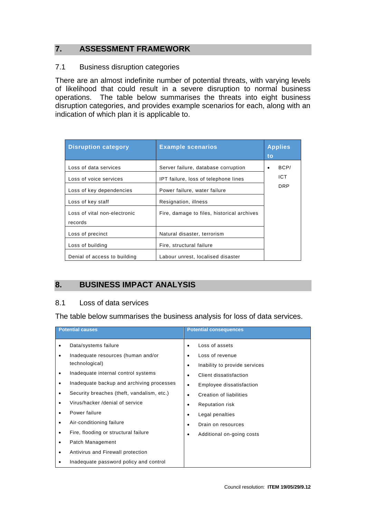#### <span id="page-7-0"></span>**7. ASSESSMENT FRAMEWORK**

#### 7.1 Business disruption categories

There are an almost indefinite number of potential threats, with varying levels of likelihood that could result in a severe disruption to normal business operations. The table below summarises the threats into eight business disruption categories, and provides example scenarios for each, along with an indication of which plan it is applicable to.

| <b>Disruption category</b>   | <b>Example scenarios</b>                   | <b>Applies</b><br>to |
|------------------------------|--------------------------------------------|----------------------|
| Loss of data services        | Server failure, database corruption        | BCP/                 |
| Loss of voice services       | IPT failure, loss of telephone lines       | ICT                  |
| Loss of key dependencies     | Power failure, water failure               | <b>DRP</b>           |
| Loss of key staff            | Resignation, illness                       |                      |
| Loss of vital non-electronic | Fire, damage to files, historical archives |                      |
| records                      |                                            |                      |
| Loss of precinct             | Natural disaster, terrorism                |                      |
| Loss of building             | Fire, structural failure                   |                      |
| Denial of access to building | Labour unrest, localised disaster          |                      |

#### **8. BUSINESS IMPACT ANALYSIS**

#### 8.1 Loss of data services

The table below summarises the business analysis for loss of data services.

| <b>Potential causes</b> |                                            | <b>Potential consequences</b> |                               |
|-------------------------|--------------------------------------------|-------------------------------|-------------------------------|
|                         | Data/systems failure                       | $\bullet$                     | Loss of assets                |
|                         | Inadequate resources (human and/or         |                               | Loss of revenue               |
|                         | technological)                             |                               | Inability to provide services |
|                         | Inadequate internal control systems        |                               | Client dissatisfaction        |
|                         | Inadequate backup and archiving processes  |                               | Employee dissatisfaction      |
|                         | Security breaches (theft, vandalism, etc.) |                               | Creation of liabilities       |
|                         | Virus/hacker /denial of service            |                               | <b>Reputation risk</b>        |
|                         | Power failure                              |                               | Legal penalties               |
|                         | Air-conditioning failure                   |                               | Drain on resources            |
|                         | Fire, flooding or structural failure       |                               | Additional on-going costs     |
|                         | Patch Management                           |                               |                               |
|                         | Antivirus and Firewall protection          |                               |                               |
|                         | Inadequate password policy and control     |                               |                               |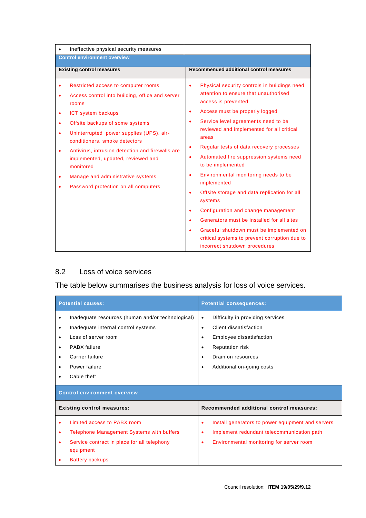|                                     | Ineffective physical security measures                                                                                                                                                               |                                                                                                                                                                                                                                                            |
|-------------------------------------|------------------------------------------------------------------------------------------------------------------------------------------------------------------------------------------------------|------------------------------------------------------------------------------------------------------------------------------------------------------------------------------------------------------------------------------------------------------------|
| <b>Control environment overview</b> |                                                                                                                                                                                                      |                                                                                                                                                                                                                                                            |
|                                     | <b>Existing control measures</b>                                                                                                                                                                     | Recommended additional control measures                                                                                                                                                                                                                    |
|                                     | Restricted access to computer rooms<br>Access control into building, office and server<br>rooms<br>ICT system backups<br>Offsite backups of some systems<br>Uninterrupted power supplies (UPS), air- | Physical security controls in buildings need<br>٠<br>attention to ensure that unauthorised<br>access is prevented<br>Access must be properly logged<br>٠<br>Service level agreements need to be<br>٠<br>reviewed and implemented for all critical<br>areas |
|                                     | conditioners, smoke detectors<br>Antivirus, intrusion detection and firewalls are<br>implemented, updated, reviewed and<br>monitored<br>Manage and administrative systems                            | Regular tests of data recovery processes<br>٠<br>Automated fire suppression systems need<br>٠<br>to be implemented<br>Environmental monitoring needs to be<br>٠                                                                                            |
|                                     | Password protection on all computers                                                                                                                                                                 | implemented<br>Offsite storage and data replication for all<br>$\bullet$<br>systems<br>Configuration and change management<br>٠                                                                                                                            |
|                                     |                                                                                                                                                                                                      | Generators must be installed for all sites<br>٠<br>Graceful shutdown must be implemented on<br>critical systems to prevent corruption due to<br>incorrect shutdown procedures                                                                              |

#### 8.2 Loss of voice services

The table below summarises the business analysis for loss of voice services.

| <b>Potential causes:</b>            |                                                                                                                                                                                    | <b>Potential consequences:</b>                                                                                                                                                                                                                    |  |
|-------------------------------------|------------------------------------------------------------------------------------------------------------------------------------------------------------------------------------|---------------------------------------------------------------------------------------------------------------------------------------------------------------------------------------------------------------------------------------------------|--|
| $\bullet$<br>٠<br>٠                 | Inadequate resources (human and/or technological)<br>Inadequate internal control systems<br>Loss of server room<br>PABX failure<br>Carrier failure<br>Power failure<br>Cable theft | Difficulty in providing services<br>$\bullet$<br>Client dissatisfaction<br>$\bullet$<br>Employee dissatisfaction<br>$\bullet$<br><b>Reputation risk</b><br>$\bullet$<br>Drain on resources<br>$\bullet$<br>Additional on-going costs<br>$\bullet$ |  |
| <b>Control environment overview</b> |                                                                                                                                                                                    |                                                                                                                                                                                                                                                   |  |
| <b>Existing control measures:</b>   |                                                                                                                                                                                    | Recommended additional control measures:                                                                                                                                                                                                          |  |
| $\bullet$<br>٠<br>٠                 | Limited access to PABX room<br><b>Telephone Management Systems with buffers</b><br>Service contract in place for all telephony<br>equipment                                        | Install generators to power equipment and servers<br>٠<br>Implement redundant telecommunication path<br>٠<br>Environmental monitoring for server room<br>$\bullet$                                                                                |  |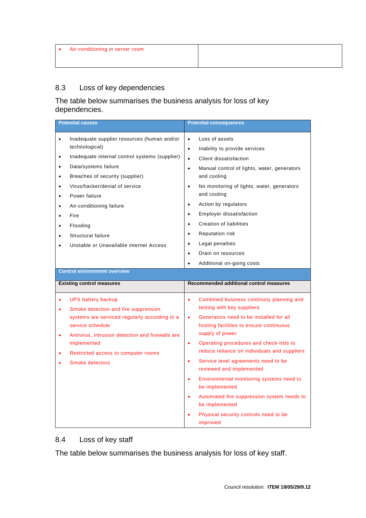### 8.3 Loss of key dependencies

#### The table below summarises the business analysis for loss of key dependencies.

| <b>Potential causes</b>                                                                                                                                                                                                                                                               | <b>Potential consequences</b>                                                                                                                                                                                                                                                                                                                                                                                                                                                                                                                                                                                   |
|---------------------------------------------------------------------------------------------------------------------------------------------------------------------------------------------------------------------------------------------------------------------------------------|-----------------------------------------------------------------------------------------------------------------------------------------------------------------------------------------------------------------------------------------------------------------------------------------------------------------------------------------------------------------------------------------------------------------------------------------------------------------------------------------------------------------------------------------------------------------------------------------------------------------|
| Inadequate supplier resources (human and/or<br>$\bullet$<br>technological)<br>Inadequate internal control systems (supplier)<br>$\bullet$<br>Data/systems failure<br>$\bullet$<br>Breaches of security (supplier)<br>$\bullet$                                                        | Loss of assets<br>$\bullet$<br>Inability to provide services<br>$\bullet$<br>Client dissatisfaction<br>$\bullet$<br>Manual control of lights, water, generators<br>$\bullet$<br>and cooling                                                                                                                                                                                                                                                                                                                                                                                                                     |
| Virus/hacker/denial of service<br>$\bullet$<br>Power failure<br>Air-conditioning failure<br>Fire<br>Flooding<br>Structural failure<br>Unstable or Unavailable internet Access                                                                                                         | No monitoring of lights, water, generators<br>$\bullet$<br>and cooling<br>Action by regulators<br>$\bullet$<br>Employer dissatisfaction<br>$\bullet$<br><b>Creation of liabilities</b><br>$\bullet$<br><b>Reputation risk</b><br>$\bullet$<br>Legal penalties<br>$\bullet$<br>Drain on resources<br>$\bullet$<br>Additional on-going costs                                                                                                                                                                                                                                                                      |
| <b>Control environment overview</b>                                                                                                                                                                                                                                                   |                                                                                                                                                                                                                                                                                                                                                                                                                                                                                                                                                                                                                 |
| <b>Existing control measures</b>                                                                                                                                                                                                                                                      | Recommended additional control measures                                                                                                                                                                                                                                                                                                                                                                                                                                                                                                                                                                         |
| <b>UPS battery backup</b><br>Smoke detection and fire suppression<br>٠<br>systems are serviced regularly according to a<br>service schedule<br>Antivirus, intrusion detection and firewalls are<br>$\bullet$<br>implemented<br>Restricted access to computer rooms<br>Smoke detectors | Combined business continuity planning and<br>$\bullet$<br>testing with key suppliers<br>Generators need to be installed for all<br>$\bullet$<br>hosting facilities to ensure continuous<br>supply of power<br>Operating procedures and check-lists to<br>$\bullet$<br>reduce reliance on individuals and suppliers<br>Service level agreements need to be<br>$\bullet$<br>reviewed and implemented<br>Environmental monitoring systems need to<br>$\bullet$<br>be implemented<br>Automated fire suppression system needs to<br>$\bullet$<br>be implemented<br>Physical security controls need to be<br>improved |

#### 8.4 Loss of key staff

The table below summarises the business analysis for loss of key staff.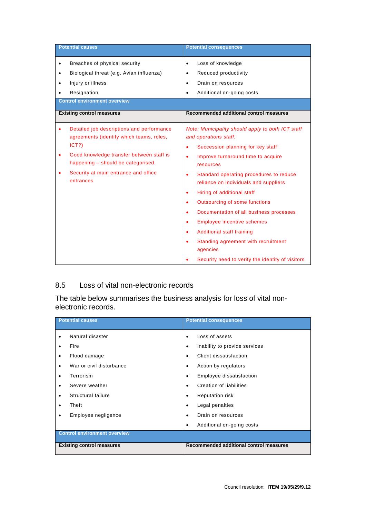|           | <b>Potential causes</b>                                                                                                                                                                                                               | <b>Potential consequences</b>                                                                                                                                                                                                                                                                                      |
|-----------|---------------------------------------------------------------------------------------------------------------------------------------------------------------------------------------------------------------------------------------|--------------------------------------------------------------------------------------------------------------------------------------------------------------------------------------------------------------------------------------------------------------------------------------------------------------------|
| $\bullet$ | Breaches of physical security                                                                                                                                                                                                         | Loss of knowledge<br>$\bullet$                                                                                                                                                                                                                                                                                     |
| ٠         | Biological threat (e.g. Avian influenza)                                                                                                                                                                                              | Reduced productivity<br>٠                                                                                                                                                                                                                                                                                          |
| ٠         | Injury or illness                                                                                                                                                                                                                     | Drain on resources<br>٠                                                                                                                                                                                                                                                                                            |
|           |                                                                                                                                                                                                                                       |                                                                                                                                                                                                                                                                                                                    |
| ٠         | Resignation<br><b>Control environment overview</b>                                                                                                                                                                                    | Additional on-going costs<br>$\bullet$                                                                                                                                                                                                                                                                             |
|           |                                                                                                                                                                                                                                       |                                                                                                                                                                                                                                                                                                                    |
|           | <b>Existing control measures</b>                                                                                                                                                                                                      | Recommended additional control measures                                                                                                                                                                                                                                                                            |
| ٠         | Detailed job descriptions and performance<br>agreements (identify which teams, roles,<br>ICT?)<br>Good knowledge transfer between staff is<br>happening - should be categorised.<br>Security at main entrance and office<br>entrances | Note: Municipality should apply to both ICT staff<br>and operations staff:<br>Succession planning for key staff<br>$\bullet$<br>Improve turnaround time to acquire<br>٠<br>resources<br>Standard operating procedures to reduce<br>٠<br>reliance on individuals and suppliers                                      |
|           |                                                                                                                                                                                                                                       | Hiring of additional staff<br>٠<br>Outsourcing of some functions<br>٠<br>Documentation of all business processes<br><b>Employee incentive schemes</b><br>٠<br><b>Additional staff training</b><br>$\bullet$<br>Standing agreement with recruitment<br>agencies<br>Security need to verify the identity of visitors |

#### 8.5 Loss of vital non-electronic records

The table below summarises the business analysis for loss of vital nonelectronic records.

| <b>Potential causes</b>             | <b>Potential consequences</b>              |  |  |  |
|-------------------------------------|--------------------------------------------|--|--|--|
| Natural disaster<br>$\bullet$       | Loss of assets<br>$\bullet$                |  |  |  |
| Fire                                | Inability to provide services<br>$\bullet$ |  |  |  |
| Flood damage                        | Client dissatisfaction<br>$\bullet$        |  |  |  |
| War or civil disturbance            | Action by regulators<br>$\bullet$          |  |  |  |
| Terrorism                           | Employee dissatisfaction<br>$\bullet$      |  |  |  |
| Severe weather                      | Creation of liabilities<br>$\bullet$       |  |  |  |
| Structural failure                  | <b>Reputation risk</b><br>$\bullet$        |  |  |  |
| Theft                               | Legal penalties<br>$\bullet$               |  |  |  |
| Employee negligence                 | Drain on resources<br>$\bullet$            |  |  |  |
|                                     | Additional on-going costs<br>٠             |  |  |  |
| <b>Control environment overview</b> |                                            |  |  |  |
| <b>Existing control measures</b>    | Recommended additional control measures    |  |  |  |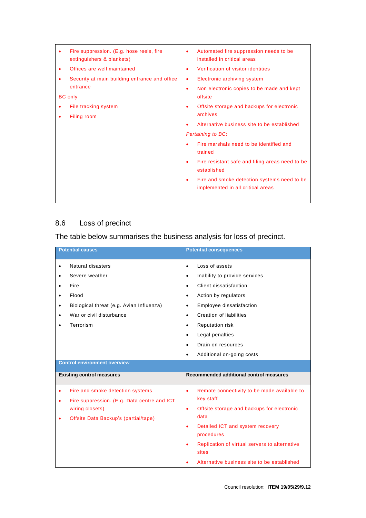|   | Fire suppression. (E.g. hose reels, fire<br>extinguishers & blankets) | ٠ | Automated fire suppression needs to be<br>installed in critical areas             |
|---|-----------------------------------------------------------------------|---|-----------------------------------------------------------------------------------|
| ٠ | Offices are well maintained                                           | ٠ | Verification of visitor identities                                                |
|   | Security at main building entrance and office                         | ٠ | Electronic archiving system                                                       |
|   | entrance<br><b>BC</b> only                                            | ٠ | Non electronic copies to be made and kept<br>offsite                              |
|   | File tracking system                                                  |   | Offsite storage and backups for electronic<br>archives                            |
|   | Filing room                                                           |   | Alternative business site to be established                                       |
|   |                                                                       |   | <b>Pertaining to BC:</b>                                                          |
|   |                                                                       |   | Fire marshals need to be identified and<br>trained                                |
|   |                                                                       | ٠ | Fire resistant safe and filing areas need to be<br>established                    |
|   |                                                                       |   | Fire and smoke detection systems need to be.<br>implemented in all critical areas |

### 8.6 Loss of precinct

# The table below summarises the business analysis for loss of precinct.

| <b>Potential causes</b>                                                                                                                                | <b>Potential consequences</b>                                                                                                                                                                                                                                                                                                                    |
|--------------------------------------------------------------------------------------------------------------------------------------------------------|--------------------------------------------------------------------------------------------------------------------------------------------------------------------------------------------------------------------------------------------------------------------------------------------------------------------------------------------------|
| Natural disasters<br>Severe weather<br>Fire<br>Flood<br>Biological threat (e.g. Avian Influenza)<br>$\bullet$<br>War or civil disturbance<br>Terrorism | Loss of assets<br>$\bullet$<br>Inability to provide services<br>$\bullet$<br>Client dissatisfaction<br>$\bullet$<br>Action by regulators<br>$\bullet$<br>Employee dissatisfaction<br>$\bullet$<br>Creation of liabilities<br>$\bullet$<br><b>Reputation risk</b><br>$\bullet$<br>Legal penalties<br>$\bullet$<br>Drain on resources<br>$\bullet$ |
|                                                                                                                                                        | Additional on-going costs<br>$\bullet$                                                                                                                                                                                                                                                                                                           |
| <b>Control environment overview</b>                                                                                                                    |                                                                                                                                                                                                                                                                                                                                                  |
| <b>Existing control measures</b>                                                                                                                       | Recommended additional control measures                                                                                                                                                                                                                                                                                                          |
| Fire and smoke detection systems<br>Fire suppression. (E.g. Data centre and ICT<br>wiring closets)<br>Offsite Data Backup's (partial/tape)             | Remote connectivity to be made available to<br>$\bullet$<br>key staff<br>Offsite storage and backups for electronic<br>$\bullet$<br>data<br>Detailed ICT and system recovery<br>$\bullet$<br>procedures<br>Replication of virtual servers to alternative<br>٠<br>sites<br>Alternative business site to be established                            |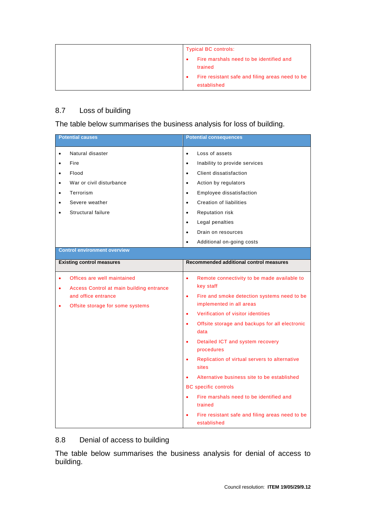| <b>Typical BC controls:</b>                                    |
|----------------------------------------------------------------|
| Fire marshals need to be identified and<br>trained             |
| Fire resistant safe and filing areas need to be<br>established |

#### 8.7 Loss of building

The table below summarises the business analysis for loss of building.

|                                                               | <b>Potential causes</b>                                                                                                            | <b>Potential consequences</b>                                                                                                                                                                                                                                                                                                                                                                                                                                                                                                                                                                                                                    |
|---------------------------------------------------------------|------------------------------------------------------------------------------------------------------------------------------------|--------------------------------------------------------------------------------------------------------------------------------------------------------------------------------------------------------------------------------------------------------------------------------------------------------------------------------------------------------------------------------------------------------------------------------------------------------------------------------------------------------------------------------------------------------------------------------------------------------------------------------------------------|
| $\bullet$<br>$\bullet$<br>$\bullet$<br>$\bullet$<br>$\bullet$ | Natural disaster<br>Fire<br>Flood<br>War or civil disturbance<br>Terrorism<br>Severe weather<br>Structural failure                 | Loss of assets<br>$\bullet$<br>Inability to provide services<br>$\bullet$<br>Client dissatisfaction<br>$\bullet$<br>Action by regulators<br>$\bullet$<br>Employee dissatisfaction<br>$\bullet$<br><b>Creation of liabilities</b><br>$\bullet$<br>Reputation risk<br>$\bullet$<br>Legal penalties<br>$\bullet$<br>Drain on resources<br>$\bullet$<br>Additional on-going costs<br>$\bullet$                                                                                                                                                                                                                                                       |
|                                                               | <b>Control environment overview</b>                                                                                                |                                                                                                                                                                                                                                                                                                                                                                                                                                                                                                                                                                                                                                                  |
|                                                               | <b>Existing control measures</b>                                                                                                   | Recommended additional control measures                                                                                                                                                                                                                                                                                                                                                                                                                                                                                                                                                                                                          |
| ٠<br>$\bullet$                                                | Offices are well maintained<br>Access Control at main building entrance<br>and office entrance<br>Offsite storage for some systems | $\bullet$<br>Remote connectivity to be made available to<br>key staff<br>Fire and smoke detection systems need to be<br>$\bullet$<br>implemented in all areas<br>Verification of visitor identities<br>$\bullet$<br>Offsite storage and backups for all electronic<br>$\bullet$<br>data<br>Detailed ICT and system recovery<br>$\bullet$<br>procedures<br>Replication of virtual servers to alternative<br>$\bullet$<br>sites<br>Alternative business site to be established<br><b>BC</b> specific controls<br>Fire marshals need to be identified and<br>$\bullet$<br>trained<br>Fire resistant safe and filing areas need to be<br>established |

#### 8.8 Denial of access to building

The table below summarises the business analysis for denial of access to building.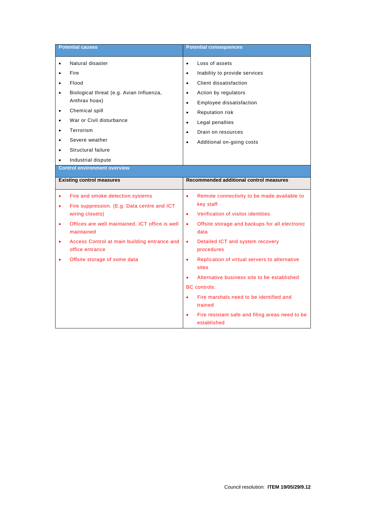|                                     | <b>Potential causes</b>                                         |           | <b>Potential consequences</b>                                  |
|-------------------------------------|-----------------------------------------------------------------|-----------|----------------------------------------------------------------|
| $\bullet$                           | Natural disaster                                                | $\bullet$ | Loss of assets                                                 |
|                                     | Fire                                                            | $\bullet$ | Inability to provide services                                  |
| $\bullet$                           | Flood                                                           | $\bullet$ | Client dissatisfaction                                         |
| $\bullet$                           | Biological threat (e.g. Avian Influenza,                        | ٠         | Action by regulators                                           |
|                                     | Anthrax hoax)                                                   | $\bullet$ | Employee dissatisfaction                                       |
| $\bullet$                           | Chemical spill                                                  | $\bullet$ | <b>Reputation risk</b>                                         |
| $\bullet$                           | War or Civil disturbance                                        | $\bullet$ | Legal penalties                                                |
|                                     | Terrorism                                                       | $\bullet$ | Drain on resources                                             |
|                                     | Severe weather                                                  | $\bullet$ | Additional on-going costs                                      |
|                                     | Structural failure                                              |           |                                                                |
| ٠                                   | Industrial dispute                                              |           |                                                                |
| <b>Control environment overview</b> |                                                                 |           |                                                                |
|                                     | <b>Existing control measures</b>                                |           | Recommended additional control measures                        |
|                                     | Fire and smoke detection systems                                | $\bullet$ | Remote connectivity to be made available to                    |
| ٠                                   | Fire suppression. (E.g. Data centre and ICT                     |           | key staff                                                      |
|                                     | wiring closets)                                                 | $\bullet$ | Verification of visitor identities                             |
| $\bullet$                           | Offices are well maintained. ICT office is well<br>maintained   | $\bullet$ | Offsite storage and backups for all electronic<br>data         |
| ٠                                   | Access Control at main building entrance and<br>office entrance | $\bullet$ | Detailed ICT and system recovery<br>procedures                 |
|                                     | Offsite storage of some data                                    | $\bullet$ | Replication of virtual servers to alternative<br>sites         |
|                                     |                                                                 |           | Alternative business site to be established                    |
|                                     |                                                                 |           | <b>BC</b> controls:                                            |
|                                     |                                                                 |           | Fire marshals need to be identified and<br>trained             |
|                                     |                                                                 | $\bullet$ | Fire resistant safe and filing areas need to be<br>established |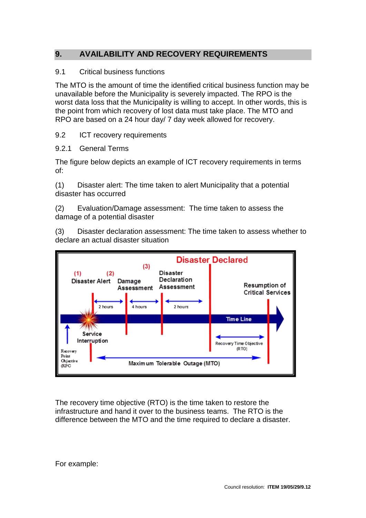### <span id="page-14-0"></span>**9. AVAILABILITY AND RECOVERY REQUIREMENTS**

#### 9.1 Critical business functions

The MTO is the amount of time the identified critical business function may be unavailable before the Municipality is severely impacted. The RPO is the worst data loss that the Municipality is willing to accept. In other words, this is the point from which recovery of lost data must take place. The MTO and RPO are based on a 24 hour day/ 7 day week allowed for recovery.

#### 9.2 **ICT** recovery requirements

#### 9.2.1 General Terms

The figure below depicts an example of ICT recovery requirements in terms of:

(1) Disaster alert: The time taken to alert Municipality that a potential disaster has occurred

(2) Evaluation/Damage assessment: The time taken to assess the damage of a potential disaster

(3) Disaster declaration assessment: The time taken to assess whether to declare an actual disaster situation



The recovery time objective (RTO) is the time taken to restore the infrastructure and hand it over to the business teams. The RTO is the difference between the MTO and the time required to declare a disaster.

For example: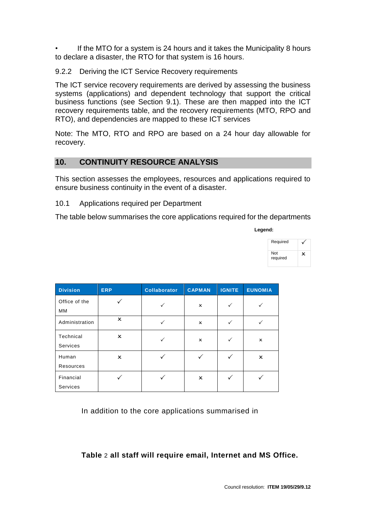If the MTO for a system is 24 hours and it takes the Municipality 8 hours to declare a disaster, the RTO for that system is 16 hours.

9.2.2 Deriving the ICT Service Recovery requirements

The ICT service recovery requirements are derived by assessing the business systems (applications) and dependent technology that support the critical business functions (see Section 9.1). These are then mapped into the ICT recovery requirements table, and the recovery requirements (MTO, RPO and RTO), and dependencies are mapped to these ICT services

Note: The MTO, RTO and RPO are based on a 24 hour day allowable for recovery.

#### <span id="page-15-0"></span>**10. CONTINUITY RESOURCE ANALYSIS**

This section assesses the employees, resources and applications required to ensure business continuity in the event of a disaster.

10.1 Applications required per Department

The table below summarises the core applications required for the departments

**Legend:**

| <b>Division</b>       | <b>ERP</b>                | <b>Collaborator</b> | <b>CAPMAN</b>  | <b>IGNITE</b> | <b>EUNOMIA</b> |
|-----------------------|---------------------------|---------------------|----------------|---------------|----------------|
| Office of the<br>MM   |                           |                     | ×              |               |                |
| Administration        | x                         |                     | $\pmb{\times}$ | ✓             |                |
| Technical<br>Services | $\boldsymbol{\mathsf{x}}$ |                     | ×              |               | x              |
| Human<br>Resources    | $\boldsymbol{\mathsf{x}}$ |                     |                |               | $\pmb{\times}$ |
| Financial<br>Services |                           |                     | x              |               |                |

In addition to the core applications summarised in

#### **[Table](#page-30-0)** 2 **all staff will require email, Internet and MS Office.**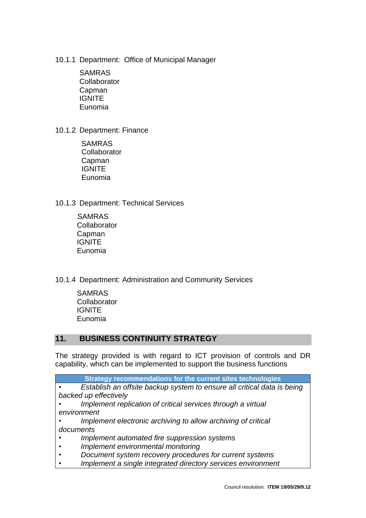- 10.1.1 Department: Office of Municipal Manager
	- SAMRAS **Collaborator** Capman IGNITE Eunomia
- 10.1.2 Department: Finance
	- SAMRAS **Collaborator** Capman **IGNITE** Eunomia
- 10.1.3 Department: Technical Services
	- SAMRAS **Collaborator** Capman IGNITE Eunomia
- 10.1.4 Department: Administration and Community Services
	- SAMRAS **Collaborator IGNITE** Eunomia

#### <span id="page-16-0"></span>**11. BUSINESS CONTINUITY STRATEGY**

The strategy provided is with regard to ICT provision of controls and DR capability, which can be implemented to support the business functions

|           | Strategy recommendations for the current sites technologies             |
|-----------|-------------------------------------------------------------------------|
|           | Establish an offsite backup system to ensure all critical data is being |
|           | backed up effectively                                                   |
|           | Implement replication of critical services through a virtual            |
|           | environment                                                             |
|           | Implement electronic archiving to allow archiving of critical           |
| documents |                                                                         |
|           | Implement automated fire suppression systems                            |
|           | Implement environmental monitoring                                      |
|           | Document system recovery procedures for current systems                 |
|           | Implement a single integrated directory services environment            |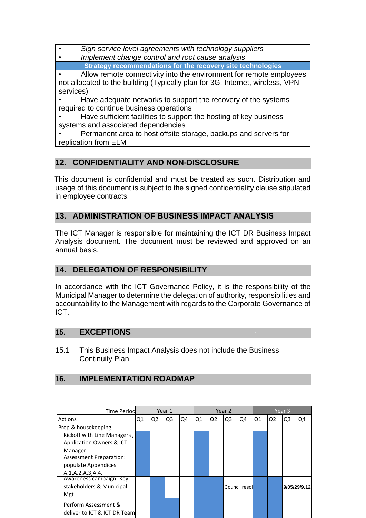*• Sign service level agreements with technology suppliers*

*• Implement change control and root cause analysis*

**Strategy recommendations for the recovery site technologies**

Allow remote connectivity into the environment for remote employees not allocated to the building (Typically plan for 3G, Internet, wireless, VPN services)

• Have adequate networks to support the recovery of the systems required to continue business operations

Have sufficient facilities to support the hosting of key business systems and associated dependencies

• Permanent area to host offsite storage, backups and servers for replication from ELM

### <span id="page-17-0"></span>**12. CONFIDENTIALITY AND NON-DISCLOSURE**

This document is confidential and must be treated as such. Distribution and usage of this document is subject to the signed confidentiality clause stipulated in employee contracts.

### <span id="page-17-1"></span>**13. ADMINISTRATION OF BUSINESS IMPACT ANALYSIS**

The ICT Manager is responsible for maintaining the ICT DR Business Impact Analysis document. The document must be reviewed and approved on an annual basis.

#### <span id="page-17-2"></span>**14. DELEGATION OF RESPONSIBILITY**

In accordance with the ICT Governance Policy, it is the responsibility of the Municipal Manager to determine the delegation of authority, responsibilities and accountability to the Management with regards to the Corporate Governance of ICT.

#### <span id="page-17-3"></span>**15. EXCEPTIONS**

15.1 This Business Impact Analysis does not include the Business Continuity Plan.

#### <span id="page-17-4"></span>**16. IMPLEMENTATION ROADMAP**

| <b>Time Period</b>             |    | Year 1         |    |    |    |                | Year 2         |               |    |                | Year 3 |              |
|--------------------------------|----|----------------|----|----|----|----------------|----------------|---------------|----|----------------|--------|--------------|
| Actions                        | Q1 | Q <sub>2</sub> | Q3 | Q4 | Q1 | Q <sub>2</sub> | Q <sub>3</sub> | Q4            | Q1 | Q <sub>2</sub> | Q3     | Q4           |
| Prep & housekeeping            |    |                |    |    |    |                |                |               |    |                |        |              |
| Kickoff with Line Managers,    |    |                |    |    |    |                |                |               |    |                |        |              |
| Application Owners & ICT       |    |                |    |    |    |                |                |               |    |                |        |              |
| Manager.                       |    |                |    |    |    |                |                |               |    |                |        |              |
| <b>Assessment Preparation:</b> |    |                |    |    |    |                |                |               |    |                |        |              |
| populate Appendices            |    |                |    |    |    |                |                |               |    |                |        |              |
| A.1, A.2, A.3, A.4.            |    |                |    |    |    |                |                |               |    |                |        |              |
| Awareness campaign: Key        |    |                |    |    |    |                |                |               |    |                |        |              |
| stakeholders & Municipal       |    |                |    |    |    |                |                | Coundil resol |    |                |        | 9/05/29/9.12 |
| Mgt                            |    |                |    |    |    |                |                |               |    |                |        |              |
| Perform Assessment &           |    |                |    |    |    |                |                |               |    |                |        |              |
| deliver to ICT & ICT DR Team   |    |                |    |    |    |                |                |               |    |                |        |              |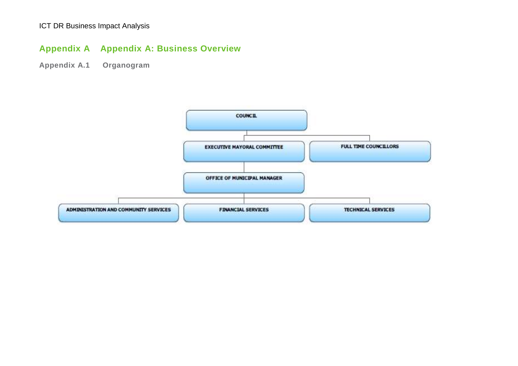# **Appendix A Appendix A: Business Overview**

**Appendix A.1 Organogram**

<span id="page-18-0"></span>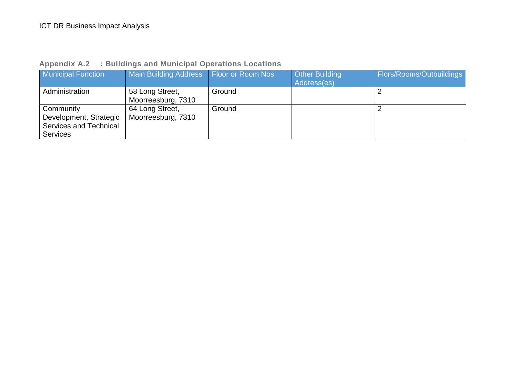| : Buildings and Municipal Operations Locations | <b>Appendix A.2</b> |  |  |  |  |
|------------------------------------------------|---------------------|--|--|--|--|
|------------------------------------------------|---------------------|--|--|--|--|

| <b>Municipal Function</b>                                                               | Main Building Address Floor or Room Nos |        | <b>Other Building</b><br>Address(es) | <b>Flors/Rooms/Outbuildings</b> |
|-----------------------------------------------------------------------------------------|-----------------------------------------|--------|--------------------------------------|---------------------------------|
| Administration                                                                          | 58 Long Street,<br>Moorreesburg, 7310   | Ground |                                      |                                 |
| Community<br>Development, Strategic<br><b>Services and Technical</b><br><b>Services</b> | 64 Long Street,<br>Moorreesburg, 7310   | Ground |                                      |                                 |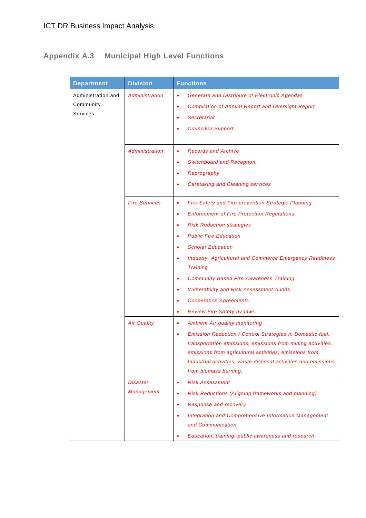# **Appendix A.3 Municipal High Level Functions**

| <b>Department</b>                                  | <b>Division</b>                | <b>Functions</b>                                                                                                                                                                                                                                                                                                                                                                                                                                                                                                       |
|----------------------------------------------------|--------------------------------|------------------------------------------------------------------------------------------------------------------------------------------------------------------------------------------------------------------------------------------------------------------------------------------------------------------------------------------------------------------------------------------------------------------------------------------------------------------------------------------------------------------------|
| Administration and<br>Community<br><b>Services</b> | Administration                 | <b>Generate and Distribute of Electronic Agendas</b><br><b>Compilation of Annual Report and Oversight Report</b><br>٠<br><b>Secretariat</b><br>$\bullet$<br><b>Councillor Support</b><br>٠                                                                                                                                                                                                                                                                                                                             |
|                                                    | Administration                 | <b>Records and Archive</b><br>٠<br><b>Switchboard and Reception</b><br>٠<br>Reprography<br>٠<br><b>Caretaking and Cleaning services</b>                                                                                                                                                                                                                                                                                                                                                                                |
|                                                    | <b>Fire Services</b>           | <b>Fire Safety and Fire prevention Strategic Planning</b><br>٠<br><b>Enforcement of Fire Protection Regulations</b><br>٠<br><b>Risk Reduction strategies</b><br>٠<br><b>Public Fire Education</b><br><b>Scholar Education</b><br>٠<br><b>Industry, Agricultural and Commerce Emergency Readiness</b><br><b>Training</b><br><b>Community Based Fire Awareness Training</b><br>٠<br><b>Vulnerability and Risk Assessment Audits</b><br>٠<br><b>Cooperation Agreements</b><br>٠<br><b>Review Fire Safety by-laws</b><br>٠ |
|                                                    | <b>Air Quality</b><br>Disaster | <b>Ambient Air quality monitoring</b><br>٠<br>Emission Reduction / Control Strategies in Domestic fuel,<br>٠<br>transportation emissions, emissions from mining activities,<br>emissions from agricultural activities, emissions from<br>Industrial activities, waste disposal activities and emissions<br>from biomass burning.<br><b>Risk Assessment</b><br>٠                                                                                                                                                        |
|                                                    | <b>Management</b>              | Risk Reductions (Aligning frameworks and planning)<br>٠<br><b>Response and recovery</b><br>٠<br><b>Integration and Comprehensive Information Management</b><br>$\bullet$<br>and Communication<br>Education, training, public awareness and research                                                                                                                                                                                                                                                                    |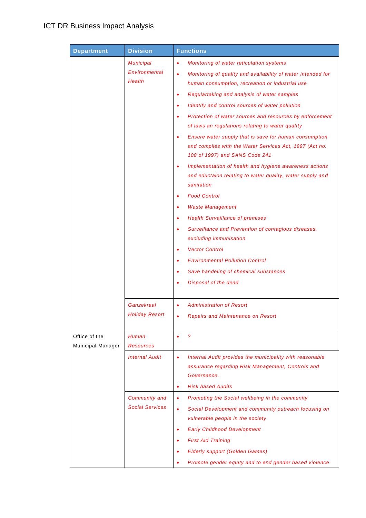| <b>Department</b> | <b>Division</b>                              | <b>Functions</b>                                                                                                                                                                                                                                                                                                                                                                                                                                                                                                                                                                                                                                                                                                                                                                                                                                                                                                                                                                                                                                                                                              |  |  |
|-------------------|----------------------------------------------|---------------------------------------------------------------------------------------------------------------------------------------------------------------------------------------------------------------------------------------------------------------------------------------------------------------------------------------------------------------------------------------------------------------------------------------------------------------------------------------------------------------------------------------------------------------------------------------------------------------------------------------------------------------------------------------------------------------------------------------------------------------------------------------------------------------------------------------------------------------------------------------------------------------------------------------------------------------------------------------------------------------------------------------------------------------------------------------------------------------|--|--|
|                   | <b>Municipal</b><br>Environmental<br>Health  | Monitoring of water reticulation systems<br>٠<br>Monitoring of quality and availability of water intended for<br>$\bullet$<br>human consumption, recreation or industrial use<br>Regulartaking and analysis of water samples<br>٠<br>Identify and control sources of water pollution<br>٠<br>Protection of water sources and resources by enforcement<br>$\bullet$<br>of laws an regulations relating to water quality<br>Ensure water supply that is save for human consumption<br>$\bullet$<br>and complies with the Water Services Act, 1997 (Act no.<br>108 of 1997) and SANS Code 241<br>Implementation of health and hygiene awareness actions<br>٠<br>and eductaion relating to water quality, water supply and<br>sanitation<br><b>Food Control</b><br>٠<br><b>Waste Management</b><br>٠<br><b>Health Survaillance of premises</b><br>$\bullet$<br>Surveillance and Prevention of contagious diseases,<br>٠<br>excluding immunisation<br><b>Vector Control</b><br>٠<br><b>Environmental Pollution Control</b><br>٠<br>Save handeling of chemical substances<br>٠<br>Disposal of the dead<br>$\bullet$ |  |  |
| Office of the     | Ganzekraal<br><b>Holiday Resort</b><br>Human | <b>Administration of Resort</b><br>٠<br><b>Repairs and Maintenance on Resort</b><br>$\bullet$<br>2                                                                                                                                                                                                                                                                                                                                                                                                                                                                                                                                                                                                                                                                                                                                                                                                                                                                                                                                                                                                            |  |  |
| Municipal Manager | <b>Resources</b><br><b>Internal Audit</b>    | Internal Audit provides the municipality with reasonable<br>٠<br>assurance regarding Risk Management, Controls and<br>Governance.<br><b>Risk based Audits</b><br>٠                                                                                                                                                                                                                                                                                                                                                                                                                                                                                                                                                                                                                                                                                                                                                                                                                                                                                                                                            |  |  |
|                   | Community and<br><b>Social Services</b>      | Promoting the Social wellbeing in the community<br>٠<br>Social Development and community outreach focusing on<br>$\bullet$<br>vulnerable people in the society<br><b>Early Childhood Development</b><br>٠<br><b>First Aid Training</b><br>٠<br><b>Elderly support (Golden Games)</b><br>٠<br>Promote gender equity and to end gender based violence<br>٠                                                                                                                                                                                                                                                                                                                                                                                                                                                                                                                                                                                                                                                                                                                                                      |  |  |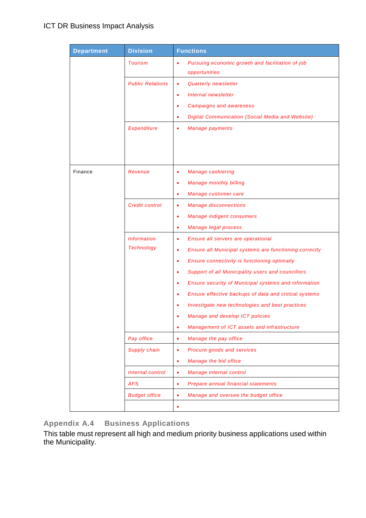| <b>Department</b> | <b>Division</b>         | <b>Functions</b>                                                               |
|-------------------|-------------------------|--------------------------------------------------------------------------------|
|                   | <b>Tourism</b>          | Pursuing economic growth and facilitation of job<br>$\bullet$<br>opportunities |
|                   | <b>Public Relations</b> | Quarterly newsletter<br>٠                                                      |
|                   |                         | <b>Internal newsletter</b><br>٠                                                |
|                   |                         | <b>Campaigns and awareness</b><br>٠                                            |
|                   |                         | Digital Communication (Social Media and Website)<br>٠                          |
|                   | <b>Expenditure</b>      | <b>Manage payments</b><br>٠                                                    |
|                   |                         |                                                                                |
|                   |                         |                                                                                |
| Finance           | Revenue                 | <b>Manage cashiering</b><br>٠                                                  |
|                   |                         | <b>Manage monthly billing</b><br>٠                                             |
|                   |                         | Manage customer care<br>٠                                                      |
|                   | <b>Credit control</b>   | <b>Manage disconnections</b><br>٠                                              |
|                   |                         | Manage indigent consumers<br>٠                                                 |
|                   |                         | Manage legal process<br>٠                                                      |
|                   | <b>Information</b>      | Ensure all servers are operational<br>٠                                        |
|                   | <b>Technology</b>       | Ensure all Municipal systems are functioning correctly<br>٠                    |
|                   |                         | Ensure connectivity is functioning optimally<br>٠                              |
|                   |                         | Support of all Municipality users and councillors<br>٠                         |
|                   |                         | Ensure security of Municipal systems and information<br>٠                      |
|                   |                         | Ensure effective backups of data and critical systems<br>٠                     |
|                   |                         | Investigate new technologies and best practices                                |
|                   |                         | Manage and develop ICT policies                                                |
|                   |                         | Management of ICT assets and infrastructure<br>٠                               |
|                   | Pay office              | Manage the pay office<br>٠                                                     |
|                   | Supply chain            | Procure goods and services<br>٠                                                |
|                   |                         | Manage the bid office<br>٠                                                     |
|                   | Internal control        | Manage internal control<br>٠                                                   |
|                   | <b>AFS</b>              | Prepare annual financial statements<br>٠                                       |
|                   | <b>Budget office</b>    | Manage and oversee the budget office<br>٠                                      |
|                   |                         | ٠                                                                              |

**Appendix A.4 Business Applications**

This table must represent all high and medium priority business applications used within the Municipality.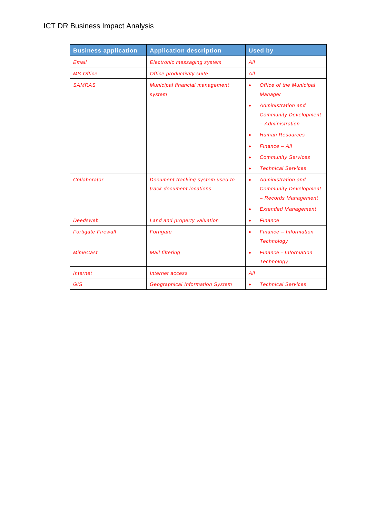| <b>Business application</b>   | <b>Application description</b>                               | <b>Used by</b>                                                                                                                                                                                                                                    |
|-------------------------------|--------------------------------------------------------------|---------------------------------------------------------------------------------------------------------------------------------------------------------------------------------------------------------------------------------------------------|
| Email                         | <b>Electronic messaging system</b>                           | All                                                                                                                                                                                                                                               |
| <b>MS Office</b>              | Office productivity suite                                    | All                                                                                                                                                                                                                                               |
| <b>SAMRAS</b>                 | Municipal financial management<br>system                     | <b>Office of the Municipal</b><br>$\bullet$<br>Manager<br>Administration and<br><b>Community Development</b><br>- Administration<br><b>Human Resources</b><br>$Finance - All$<br><b>Community Services</b><br>٠<br><b>Technical Services</b><br>٠ |
| Collaborator                  | Document tracking system used to<br>track document locations | Administration and<br>٠<br><b>Community Development</b><br>- Records Management<br><b>Extended Management</b><br>٠                                                                                                                                |
| <b>Deedsweb</b>               | Land and property valuation                                  | <b>Finance</b><br>$\bullet$                                                                                                                                                                                                                       |
| <b>Fortigate Firewall</b>     | Fortigate                                                    | Finance - Information<br>٠<br><b>Technology</b>                                                                                                                                                                                                   |
| <b>MimeCast</b>               | <b>Mail filtering</b>                                        | <b>Finance - Information</b><br>$\bullet$<br><b>Technology</b>                                                                                                                                                                                    |
| <i><u><b>Internet</b></u></i> | Internet access                                              | All                                                                                                                                                                                                                                               |
| <b>GIS</b>                    | <b>Geographical Information System</b>                       | <b>Technical Services</b><br>٠                                                                                                                                                                                                                    |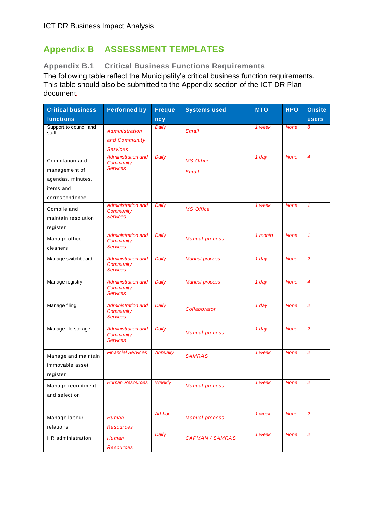### <span id="page-24-0"></span>**Appendix B ASSESSMENT TEMPLATES**

#### **Appendix B.1 Critical Business Functions Requirements**

The following table reflect the Municipality's critical business function requirements. This table should also be submitted to the Appendix section of the ICT DR Plan document*.*

| <b>Critical business</b>        | <b>Performed by</b>                           | <b>Freque</b>   | <b>Systems used</b>    | <b>MTO</b> | <b>RPO</b>  | <b>Onsite</b>  |
|---------------------------------|-----------------------------------------------|-----------------|------------------------|------------|-------------|----------------|
| functions                       |                                               | ncy             |                        |            |             | <b>users</b>   |
| Support to council and<br>staff | Administration                                | <b>Daily</b>    | Email                  | 1 week     | <b>None</b> | 8              |
|                                 | and Community                                 |                 |                        |            |             |                |
|                                 | <b>Services</b>                               |                 |                        |            |             |                |
| Compilation and                 | <b>Administration and</b><br><b>Community</b> | Daily           | <b>MS Office</b>       | 1 day      | <b>None</b> | 4              |
| management of                   | <b>Services</b>                               |                 | Email                  |            |             |                |
| agendas, minutes,               |                                               |                 |                        |            |             |                |
| items and                       |                                               |                 |                        |            |             |                |
| correspondence                  |                                               |                 |                        |            |             |                |
| Compile and                     | <b>Administration and</b><br><b>Community</b> | Daily           | <b>MS Office</b>       | 1 week     | <b>None</b> | $\mathcal I$   |
| maintain resolution             | Services                                      |                 |                        |            |             |                |
| register                        |                                               |                 |                        |            |             |                |
| Manage office                   | <b>Administration and</b>                     | Daily           | <b>Manual process</b>  | 1 month    | <b>None</b> | $\mathbf{1}$   |
| cleaners                        | <b>Community</b><br><b>Services</b>           |                 |                        |            |             |                |
| Manage switchboard              | <b>Administration and</b>                     | Daily           | <b>Manual process</b>  | 1 day      | <b>None</b> | $\overline{2}$ |
|                                 | <b>Community</b>                              |                 |                        |            |             |                |
|                                 | <b>Services</b>                               |                 |                        |            |             |                |
| Manage registry                 | <b>Administration and</b>                     | Daily           | <b>Manual process</b>  | 1 day      | <b>None</b> | $\overline{4}$ |
|                                 | Community<br><b>Services</b>                  |                 |                        |            |             |                |
| Manage filing                   | <b>Administration and</b>                     | Daily           |                        | 1 day      | <b>None</b> | $\overline{2}$ |
|                                 | <b>Community</b>                              |                 | Collaborator           |            |             |                |
|                                 | <b>Services</b>                               |                 |                        |            |             |                |
| Manage file storage             | <b>Administration and</b>                     | Daily           | <b>Manual process</b>  | 1 day      | <b>None</b> | $\overline{2}$ |
|                                 | Community<br><b>Services</b>                  |                 |                        |            |             |                |
|                                 | <b>Financial Services</b>                     | <b>Annually</b> |                        | 1 week     | <b>None</b> | $\overline{2}$ |
| Manage and maintain             |                                               |                 | <b>SAMRAS</b>          |            |             |                |
| immovable asset                 |                                               |                 |                        |            |             |                |
| register                        |                                               |                 |                        |            |             |                |
| Manage recruitment              | <b>Human Resources</b>                        | Weekly          | <b>Manual process</b>  | 1 week     | None        | 2              |
| and selection                   |                                               |                 |                        |            |             |                |
|                                 |                                               |                 |                        |            |             |                |
| Manage labour                   | Human                                         | Ad-hoc          | <b>Manual process</b>  | 1 week     | <b>None</b> | $\overline{2}$ |
| relations                       | <b>Resources</b>                              |                 |                        |            |             |                |
| HR administration               | Human                                         | Daily           | <b>CAPMAN / SAMRAS</b> | 1 week     | <b>None</b> | $\overline{2}$ |
|                                 | <b>Resources</b>                              |                 |                        |            |             |                |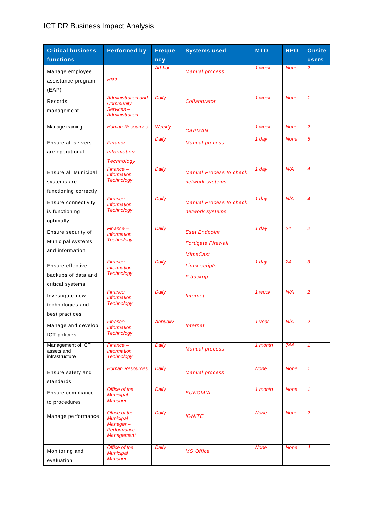| <b>Critical business</b>                                     | <b>Performed by</b>                                                               | <b>Freque</b>   | <b>Systems used</b>                                                  | <b>MTO</b>  | <b>RPO</b>  | <b>Onsite</b>  |
|--------------------------------------------------------------|-----------------------------------------------------------------------------------|-----------------|----------------------------------------------------------------------|-------------|-------------|----------------|
| functions                                                    |                                                                                   | ncy             |                                                                      |             |             | <b>users</b>   |
| Manage employee<br>assistance program<br>(EAP)               | HR?                                                                               | Ad-hoc          | <b>Manual process</b>                                                | 1 week      | <b>None</b> | 2              |
| Records<br>management                                        | <b>Administration and</b><br>Community<br>Services-<br>Administration             | Daily           | Collaborator                                                         | 1 week      | <b>None</b> | $\mathbf{1}$   |
| Manage training                                              | <b>Human Resources</b>                                                            | <b>Weekly</b>   | <b>CAPMAN</b>                                                        | 1 week      | <b>None</b> | 2              |
| Ensure all servers<br>are operational                        | $Financee -$<br><i><u><b>Information</b></u></i><br><b>Technology</b>             | Daily           | <b>Manual process</b>                                                | 1 day       | <b>None</b> | 5              |
| Ensure all Municipal<br>systems are<br>functioning correctly | $Finance -$<br><b>Information</b><br><b>Technology</b>                            | Daily           | <b>Manual Process to check</b><br>network systems                    | 1 day       | N/A         | $\overline{4}$ |
| Ensure connectivity<br>is functioning<br>optimally           | $Finance -$<br><b>Information</b><br><b>Technology</b>                            | Daily           | <b>Manual Process to check</b><br>network systems                    | 1 day       | N/A         | $\overline{4}$ |
| Ensure security of<br>Municipal systems<br>and information   | $Finance -$<br><b>Information</b><br><b>Technology</b>                            | Daily           | <b>Eset Endpoint</b><br><b>Fortigate Firewall</b><br><b>MimeCast</b> | 1 day       | 24          | $\overline{2}$ |
| Ensure effective<br>backups of data and<br>critical systems  | $Finance -$<br><b>Information</b><br><b>Technology</b>                            | Daily           | <b>Linux scripts</b><br>F backup                                     | 1 day       | 24          | 3              |
| Investigate new<br>technologies and<br>best practices        | $Finance -$<br><b>Information</b><br><b>Technology</b>                            | Daily           | <b>Internet</b>                                                      | 1 week      | N/A         | $\overline{2}$ |
| Manage and develop<br>ICT policies                           | Finance-<br><b>Information</b><br><b>Technology</b>                               | <b>Annually</b> | <i><b>Internet</b></i>                                               | $1$ year    | N/A         | $\overline{c}$ |
| Management of ICT<br>assets and<br>infrastructure            | $Financee -$<br><b>Information</b><br><b>Technology</b>                           | Daily           | <b>Manual process</b>                                                | 1 month     | 744         | $\mathbf{1}$   |
| Ensure safety and<br>standards                               | <b>Human Resources</b>                                                            | Daily           | <b>Manual process</b>                                                | <b>None</b> | <b>None</b> | $\mathcal I$   |
| Ensure compliance<br>to procedures                           | Office of the<br><b>Municipal</b><br>Manager                                      | Daily           | <b>EUNOMIA</b>                                                       | 1 month     | <b>None</b> | $\mathcal{I}$  |
| Manage performance                                           | Office of the<br><b>Municipal</b><br>Manager-<br>Performance<br><b>Management</b> | <b>Daily</b>    | <b>IGNITE</b>                                                        | <b>None</b> | <b>None</b> | $\overline{2}$ |
| Monitoring and<br>evaluation                                 | Office of the<br><b>Municipal</b><br>Manager-                                     | Daily           | <b>MS Office</b>                                                     | <b>None</b> | <b>None</b> | $\overline{4}$ |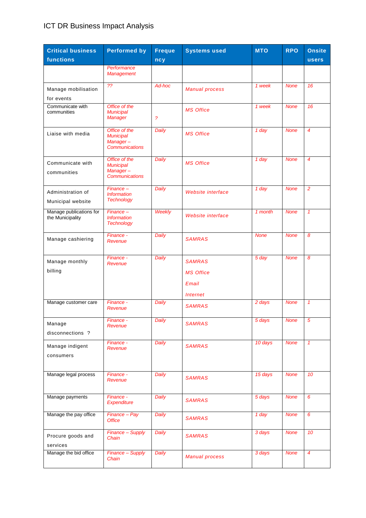| <b>Critical business</b><br>functions       | <b>Performed by</b>                                                    | <b>Freque</b><br>ncy     | <b>Systems used</b>                                                  | <b>MTO</b>  | <b>RPO</b>  | <b>Onsite</b><br><b>users</b> |
|---------------------------------------------|------------------------------------------------------------------------|--------------------------|----------------------------------------------------------------------|-------------|-------------|-------------------------------|
|                                             | Performance<br><b>Management</b>                                       |                          |                                                                      |             |             |                               |
| Manage mobilisation<br>for events           | 22                                                                     | Ad-hoc                   | <b>Manual process</b>                                                | 1 week      | <b>None</b> | 16                            |
| Communicate with<br>communities             | Office of the<br><b>Municipal</b><br>Manager                           | $\overline{\mathcal{E}}$ | <b>MS Office</b>                                                     | 1 week      | <b>None</b> | $\overline{16}$               |
| Liaise with media                           | Office of the<br><b>Municipal</b><br>Manager-<br><b>Communications</b> | Daily                    | <b>MS Office</b>                                                     | 1 day       | <b>None</b> | $\overline{4}$                |
| Communicate with<br>communities             | Office of the<br><b>Municipal</b><br>Manager-<br><b>Communications</b> | Daily                    | <b>MS Office</b>                                                     | 1 day       | <b>None</b> | $\overline{4}$                |
| Administration of<br>Municipal website      | $Finance -$<br><b>Information</b><br><b>Technology</b>                 | Daily                    | <b>Website interface</b>                                             | 1 day       | <b>None</b> | $\overline{2}$                |
| Manage publications for<br>the Municipality | $Financee -$<br><b>Information</b><br><b>Technology</b>                | <b>Weekly</b>            | <b>Website interface</b>                                             | 1 month     | <b>None</b> | $\mathbf{1}$                  |
| Manage cashiering                           | Finance -<br>Revenue                                                   | Daily                    | <b>SAMRAS</b>                                                        | <b>None</b> | <b>None</b> | 8                             |
| Manage monthly<br>billing                   | Finance -<br>Revenue                                                   | Daily                    | <b>SAMRAS</b><br><b>MS Office</b><br>Email<br><i><b>Internet</b></i> | 5 day       | <b>None</b> | 8                             |
| Manage customer care                        | Finance -<br>Revenue                                                   | Daily                    | <b>SAMRAS</b>                                                        | 2 days      | <b>None</b> | $\mathcal I$                  |
| Manage<br>disconnections ?                  | Finance -<br>Revenue                                                   | <b>Daily</b>             | <b>SAMRAS</b>                                                        | 5 days      | <b>None</b> | Э                             |
| Manage indigent<br>consumers                | Finance -<br>Revenue                                                   | Daily                    | <b>SAMRAS</b>                                                        | 10 days     | <b>None</b> | $\mathcal{I}$                 |
| Manage legal process                        | Finance -<br>Revenue                                                   | Daily                    | <b>SAMRAS</b>                                                        | 15 days     | <b>None</b> | 10                            |
| Manage payments                             | Finance -<br>Expenditure                                               | Daily                    | <b>SAMRAS</b>                                                        | 5 days      | <b>None</b> | 6                             |
| Manage the pay office                       | Finance - Pay<br><b>Office</b>                                         | <b>Daily</b>             | <b>SAMRAS</b>                                                        | 1 day       | <b>None</b> | 6                             |
| Procure goods and<br>services               | Finance - Supply<br>Chain                                              | Daily                    | <b>SAMRAS</b>                                                        | 3 days      | <b>None</b> | 10                            |
| Manage the bid office                       | Finance - Supply<br>Chain                                              | Daily                    | <b>Manual process</b>                                                | 3 days      | <b>None</b> | $\overline{4}$                |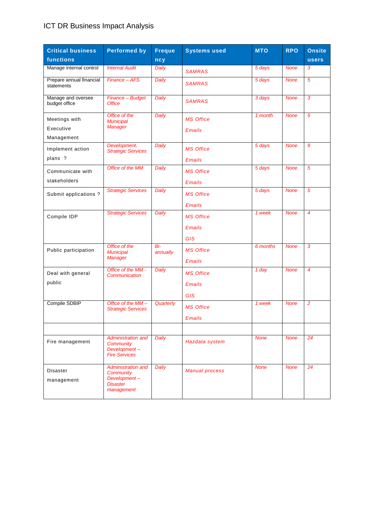| <b>Critical business</b>               | <b>Performed by</b>                                                                            | <b>Freque</b>   | <b>Systems used</b>   | <b>MTO</b>  | <b>RPO</b>  | <b>Onsite</b>  |
|----------------------------------------|------------------------------------------------------------------------------------------------|-----------------|-----------------------|-------------|-------------|----------------|
| functions                              |                                                                                                | ncy             |                       |             |             | <b>users</b>   |
| Manage internal control                | <b>Internal Audit</b>                                                                          | Daily           | <b>SAMRAS</b>         | 5 days      | <b>None</b> | 3              |
| Prepare annual financial<br>statements | Finance - AFS                                                                                  | Daily           | <b>SAMRAS</b>         | 5 days      | <b>None</b> | 5              |
| Manage and oversee<br>budget office    | Finance - Budget<br><b>Office</b>                                                              | Daily           | <b>SAMRAS</b>         | 3 days      | <b>None</b> | 3              |
| Meetings with                          | Office of the<br><b>Municipal</b>                                                              | Daily           | <b>MS Office</b>      | 1 month     | <b>None</b> | 5              |
| Executive                              | <b>Manager</b>                                                                                 |                 | <b>Emails</b>         |             |             |                |
| Management                             |                                                                                                |                 |                       |             |             |                |
| Implement action                       | Development,<br><b>Strategic Services</b>                                                      | Daily           | <b>MS Office</b>      | 5 days      | <b>None</b> | 9              |
| plans ?                                |                                                                                                |                 | <b>Emails</b>         |             |             |                |
| Communicate with                       | Office of the MM                                                                               | <b>Daily</b>    | <b>MS Office</b>      | 5 days      | <b>None</b> | 5              |
| stakeholders                           |                                                                                                |                 | <b>Emails</b>         |             |             |                |
| Submit applications?                   | <b>Strategic Services</b>                                                                      | Daily           | <b>MS Office</b>      | 5 days      | <b>None</b> | 5              |
|                                        |                                                                                                |                 | <b>Emails</b>         |             |             |                |
| Compile IDP                            | <b>Strategic Services</b>                                                                      | Daily           | <b>MS Office</b>      | 1 week      | <b>None</b> | $\overline{4}$ |
|                                        |                                                                                                |                 | <b>Emails</b>         |             |             |                |
|                                        |                                                                                                |                 | <b>GIS</b>            |             |             |                |
| Public participation                   | Office of the<br><b>Municipal</b><br>Manager                                                   | Bi-<br>annually | <b>MS Office</b>      | 6 months    | <b>None</b> | 3              |
|                                        |                                                                                                |                 | <b>Emails</b>         |             |             |                |
| Deal with general                      | Office of the MM -<br>Communication                                                            | Daily           | <b>MS Office</b>      | 1 day       | <b>None</b> | 4              |
| public                                 |                                                                                                |                 | <b>Emails</b>         |             |             |                |
|                                        |                                                                                                |                 | <b>GIS</b>            |             |             |                |
| Compile SDBIP                          | Office of the MM-<br><b>Strategic Services</b>                                                 | Quarterly       | <b>MS Office</b>      | 1 week      | <b>None</b> | $\overline{2}$ |
|                                        |                                                                                                |                 | <b>Emails</b>         |             |             |                |
|                                        |                                                                                                |                 |                       |             |             |                |
| Fire management                        | <b>Administration and</b><br>Community<br>Development-<br><b>Fire Services</b>                 | Daily           | Hazdata system        | <b>None</b> | <b>None</b> | 24             |
| Disaster<br>management                 | <b>Administration and</b><br><b>Community</b><br>Development-<br><b>Disaster</b><br>management | Daily           | <b>Manual process</b> | <b>None</b> | <b>None</b> | 24             |
|                                        |                                                                                                |                 |                       |             |             |                |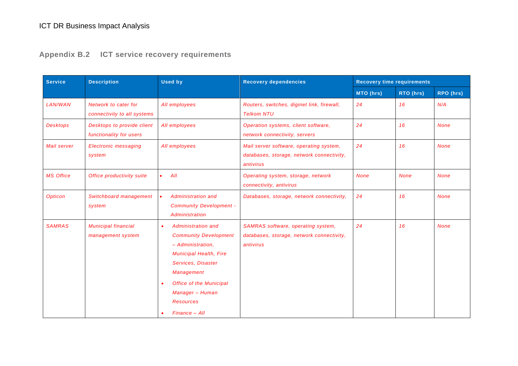**Appendix B.2 ICT service recovery requirements**

| <b>Service</b><br><b>Description</b> |                                                       | <b>Used by</b>                                                                                                                                                                                                                                                    | <b>Recovery dependencies</b>                                                                        | <b>Recovery time requirements</b> |             |             |
|--------------------------------------|-------------------------------------------------------|-------------------------------------------------------------------------------------------------------------------------------------------------------------------------------------------------------------------------------------------------------------------|-----------------------------------------------------------------------------------------------------|-----------------------------------|-------------|-------------|
|                                      |                                                       |                                                                                                                                                                                                                                                                   |                                                                                                     | MTO (hrs)                         | RTO (hrs)   | RPO (hrs)   |
| <b>LAN/WAN</b>                       | Network to cater for<br>connectivity to all systems   | All employees                                                                                                                                                                                                                                                     | Routers, switches, diginet link, firewall,<br><b>Telkom NTU</b>                                     | 24                                | 16          | N/A         |
| <b>Desktops</b>                      | Desktops to provide client<br>functionality for users | All employees                                                                                                                                                                                                                                                     | Operation systems, client software,<br>network connectivity, servers                                | 24                                | 16          | <b>None</b> |
| Mail server                          | <b>Electronic messaging</b><br>system                 | All employees                                                                                                                                                                                                                                                     | Mail server software, operating system,<br>databases, storage, network connectivity,<br>antivirus   | 24                                | 16          | <b>None</b> |
| <b>MS Office</b>                     | Office productivity suite                             | All                                                                                                                                                                                                                                                               | Operating system, storage, network<br>connectivity, antivirus                                       | <b>None</b>                       | <b>None</b> | <b>None</b> |
| <b>Opticon</b>                       | Switchboard management<br>system                      | <b>Administration and</b><br><b>Community Development -</b><br>Administration                                                                                                                                                                                     | Databases, storage, network connectivity,                                                           | 24                                | 16          | <b>None</b> |
| <b>SAMRAS</b>                        | <b>Municipal financial</b><br>management system       | <b>Administration and</b><br>$\bullet$<br><b>Community Development</b><br>- Administration.<br><b>Municipal Health, Fire</b><br>Services, Disaster<br><b>Management</b><br><b>Office of the Municipal</b><br>Manager - Human<br><b>Resources</b><br>Finance - All | <b>SAMRAS</b> software, operating system,<br>databases, storage, network connectivity,<br>antivirus | 24                                | 16          | <b>None</b> |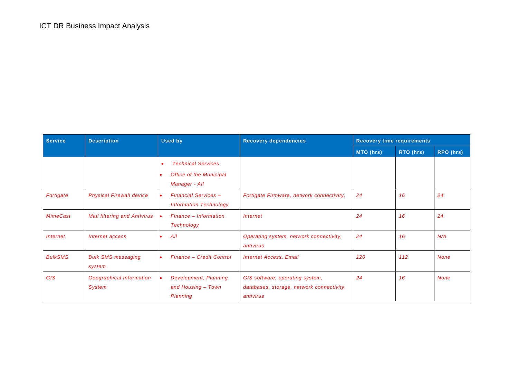| <b>Service</b>                | <b>Description</b>                               | <b>Used by</b>                                               | <b>Recovery dependencies</b>                                                              | <b>Recovery time requirements</b> |           |             |
|-------------------------------|--------------------------------------------------|--------------------------------------------------------------|-------------------------------------------------------------------------------------------|-----------------------------------|-----------|-------------|
|                               |                                                  |                                                              |                                                                                           | MTO (hrs)                         | RTO (hrs) | RPO (hrs)   |
|                               |                                                  | <b>Technical Services</b><br>٠                               |                                                                                           |                                   |           |             |
|                               |                                                  | <b>Office of the Municipal</b><br>Manager - All              |                                                                                           |                                   |           |             |
| Fortigate                     | <b>Physical Firewall device</b>                  | <b>Financial Services -</b><br><b>Information Technology</b> | Fortigate Firmware, network connectivity,                                                 | 24                                | 16        | 24          |
| <b>MimeCast</b>               | <b>Mail filtering and Antivirus</b>              | Finance - Information<br><b>Technology</b>                   | <i>Internet</i>                                                                           | 24                                | 16        | 24          |
| <i><u><b>Internet</b></u></i> | Internet access                                  | All                                                          | Operating system, network connectivity,<br>antivirus                                      | 24                                | 16        | N/A         |
| <b>BulkSMS</b>                | <b>Bulk SMS messaging</b><br>system              | <b>Finance - Credit Control</b>                              | <b>Internet Access, Email</b>                                                             | 120                               | 112       | <b>None</b> |
| <b>GIS</b>                    | <b>Geographical Information</b><br><b>System</b> | Development, Planning<br>and Housing - Town<br>Planning      | GIS software, operating system,<br>databases, storage, network connectivity,<br>antivirus | 24                                | 16        | <b>None</b> |